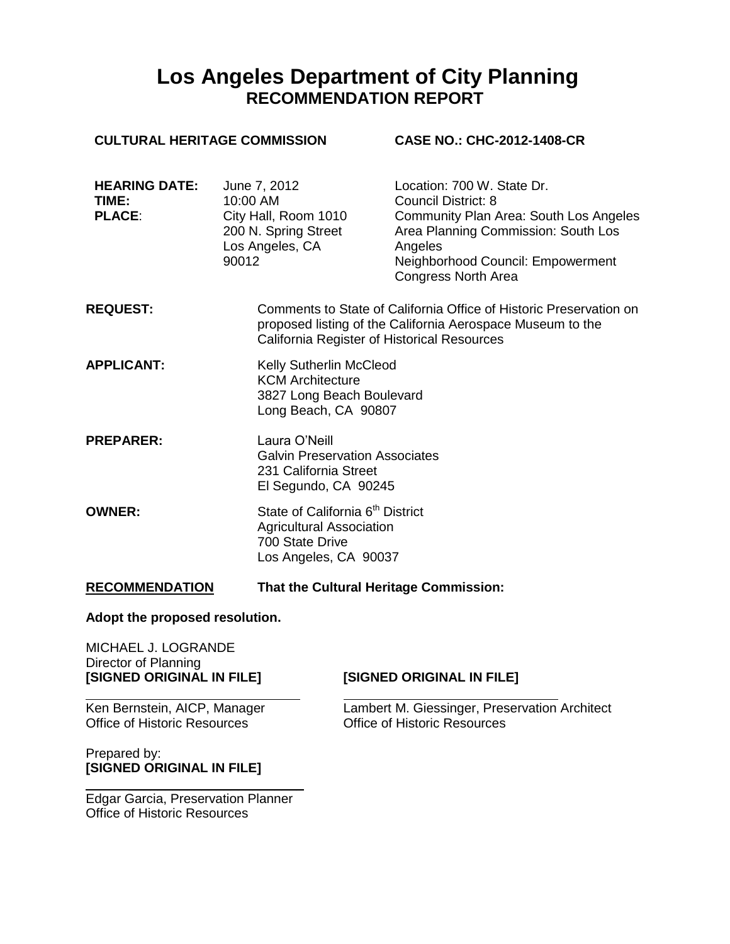# **Los Angeles Department of City Planning RECOMMENDATION REPORT**

| <b>CULTURAL HERITAGE COMMISSION</b>            |                                                                                                                                                                                 | <b>CASE NO.: CHC-2012-1408-CR</b>                                                                                                                                                                                              |  |
|------------------------------------------------|---------------------------------------------------------------------------------------------------------------------------------------------------------------------------------|--------------------------------------------------------------------------------------------------------------------------------------------------------------------------------------------------------------------------------|--|
| <b>HEARING DATE:</b><br>TIME:<br><b>PLACE:</b> | June 7, 2012<br>10:00 AM<br>City Hall, Room 1010<br>200 N. Spring Street<br>Los Angeles, CA<br>90012                                                                            | Location: 700 W. State Dr.<br><b>Council District: 8</b><br><b>Community Plan Area: South Los Angeles</b><br>Area Planning Commission: South Los<br>Angeles<br>Neighborhood Council: Empowerment<br><b>Congress North Area</b> |  |
| <b>REQUEST:</b>                                | Comments to State of California Office of Historic Preservation on<br>proposed listing of the California Aerospace Museum to the<br>California Register of Historical Resources |                                                                                                                                                                                                                                |  |
| <b>APPLICANT:</b>                              | Kelly Sutherlin McCleod<br><b>KCM Architecture</b><br>3827 Long Beach Boulevard<br>Long Beach, CA 90807                                                                         |                                                                                                                                                                                                                                |  |
| <b>PREPARER:</b>                               | Laura O'Neill<br>231 California Street                                                                                                                                          | <b>Galvin Preservation Associates</b><br>El Segundo, CA 90245                                                                                                                                                                  |  |
| <b>OWNER:</b>                                  | 700 State Drive                                                                                                                                                                 | State of California 6 <sup>th</sup> District<br><b>Agricultural Association</b><br>Los Angeles, CA 90037                                                                                                                       |  |
| <b>RECOMMENDATION</b>                          |                                                                                                                                                                                 | That the Cultural Heritage Commission:                                                                                                                                                                                         |  |

#### **Adopt the proposed resolution.**

MICHAEL J. LOGRANDE Director of Planning<br>[SIGNED ORIGINAL IN FILE]

## **[SIGNED ORIGINAL IN FILE] [SIGNED ORIGINAL IN FILE]**

Office of Historic Resources

Prepared by: **[SIGNED ORIGINAL IN FILE]**

Ken Bernstein, AICP, Manager<br>
Cambert M. Giessinger, Preservation Architect<br>
Office of Historic Resources<br>
Office of Historic Resources

\_\_\_\_\_\_\_\_\_\_\_\_\_\_\_\_\_\_\_\_\_\_\_\_ Edgar Garcia, Preservation Planner Office of Historic Resources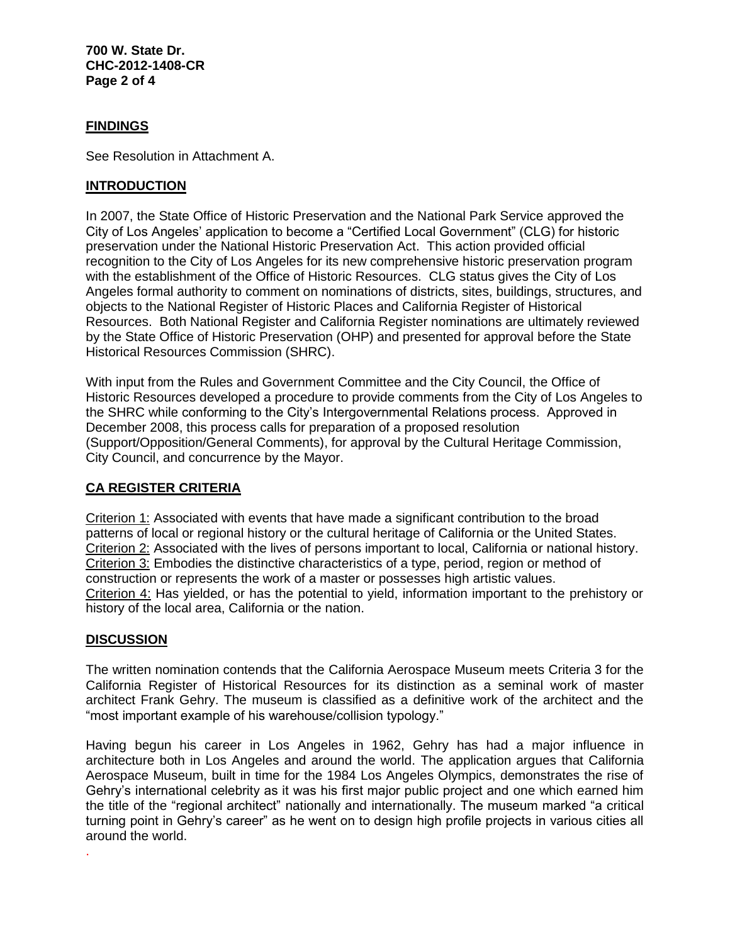**700 W. State Dr. CHC-2012-1408-CR Page 2 of 4**

#### **FINDINGS**

See Resolution in Attachment A.

#### **INTRODUCTION**

In 2007, the State Office of Historic Preservation and the National Park Service approved the City of Los Angeles' application to become a "Certified Local Government" (CLG) for historic preservation under the National Historic Preservation Act. This action provided official recognition to the City of Los Angeles for its new comprehensive historic preservation program with the establishment of the Office of Historic Resources. CLG status gives the City of Los Angeles formal authority to comment on nominations of districts, sites, buildings, structures, and objects to the National Register of Historic Places and California Register of Historical Resources. Both National Register and California Register nominations are ultimately reviewed by the State Office of Historic Preservation (OHP) and presented for approval before the State Historical Resources Commission (SHRC).

With input from the Rules and Government Committee and the City Council, the Office of Historic Resources developed a procedure to provide comments from the City of Los Angeles to the SHRC while conforming to the City's Intergovernmental Relations process. Approved in December 2008, this process calls for preparation of a proposed resolution (Support/Opposition/General Comments), for approval by the Cultural Heritage Commission, City Council, and concurrence by the Mayor.

### **CA REGISTER CRITERIA**

Criterion 1: Associated with events that have made a significant contribution to the broad patterns of local or regional history or the cultural heritage of California or the United States. Criterion 2: Associated with the lives of persons important to local, California or national history. Criterion 3: Embodies the distinctive characteristics of a type, period, region or method of construction or represents the work of a master or possesses high artistic values. Criterion 4: Has yielded, or has the potential to yield, information important to the prehistory or history of the local area, California or the nation.

#### **DISCUSSION**

.

The written nomination contends that the California Aerospace Museum meets Criteria 3 for the California Register of Historical Resources for its distinction as a seminal work of master architect Frank Gehry. The museum is classified as a definitive work of the architect and the "most important example of his warehouse/collision typology."

Having begun his career in Los Angeles in 1962, Gehry has had a major influence in architecture both in Los Angeles and around the world. The application argues that California Aerospace Museum, built in time for the 1984 Los Angeles Olympics, demonstrates the rise of Gehry's international celebrity as it was his first major public project and one which earned him the title of the "regional architect" nationally and internationally. The museum marked "a critical turning point in Gehry's career" as he went on to design high profile projects in various cities all around the world.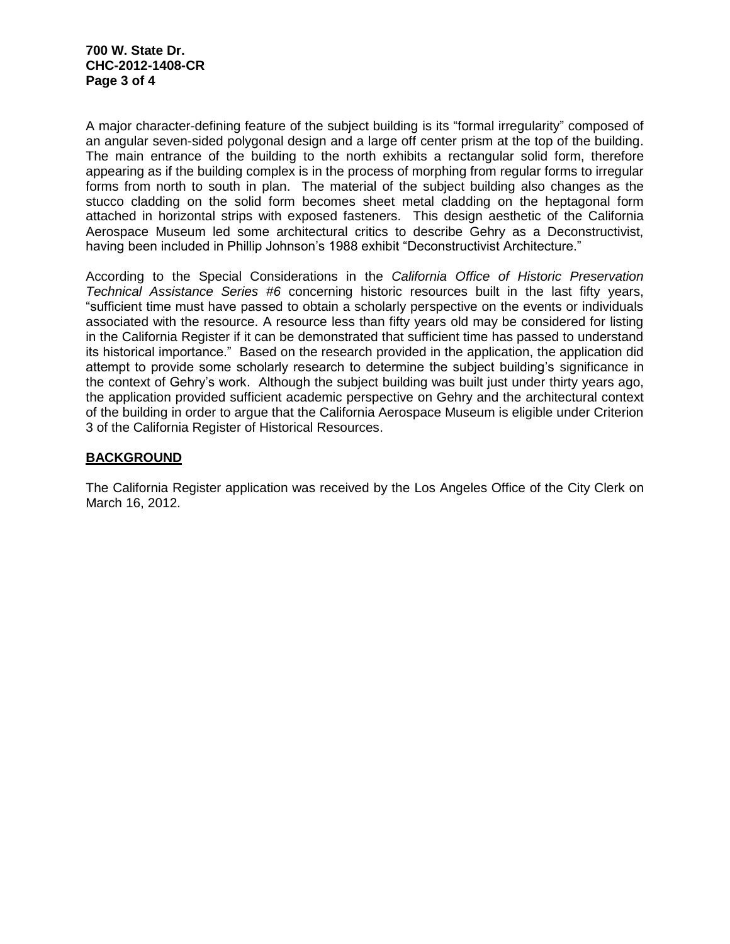A major character-defining feature of the subject building is its "formal irregularity" composed of an angular seven-sided polygonal design and a large off center prism at the top of the building. The main entrance of the building to the north exhibits a rectangular solid form, therefore appearing as if the building complex is in the process of morphing from regular forms to irregular forms from north to south in plan. The material of the subject building also changes as the stucco cladding on the solid form becomes sheet metal cladding on the heptagonal form attached in horizontal strips with exposed fasteners. This design aesthetic of the California Aerospace Museum led some architectural critics to describe Gehry as a Deconstructivist, having been included in Phillip Johnson's 1988 exhibit "Deconstructivist Architecture."

According to the Special Considerations in the *California Office of Historic Preservation Technical Assistance Series #6* concerning historic resources built in the last fifty years, "sufficient time must have passed to obtain a scholarly perspective on the events or individuals associated with the resource. A resource less than fifty years old may be considered for listing in the California Register if it can be demonstrated that sufficient time has passed to understand its historical importance." Based on the research provided in the application, the application did attempt to provide some scholarly research to determine the subject building's significance in the context of Gehry's work. Although the subject building was built just under thirty years ago, the application provided sufficient academic perspective on Gehry and the architectural context of the building in order to argue that the California Aerospace Museum is eligible under Criterion 3 of the California Register of Historical Resources.

### **BACKGROUND**

The California Register application was received by the Los Angeles Office of the City Clerk on March 16, 2012.